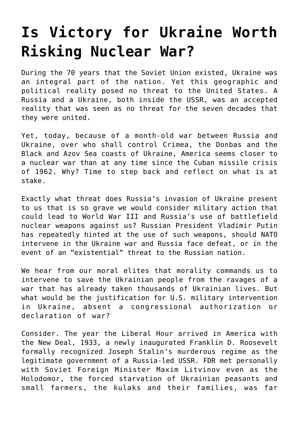## **[Is Victory for Ukraine Worth](https://intellectualtakeout.org/2022/03/is-victory-for-ukraine-worth-risking-nuclear-war/) [Risking Nuclear War?](https://intellectualtakeout.org/2022/03/is-victory-for-ukraine-worth-risking-nuclear-war/)**

During the 70 years that the Soviet Union existed, Ukraine was an integral part of the nation. Yet this geographic and political reality posed no threat to the United States. A Russia and a Ukraine, both inside the USSR, was an accepted reality that was seen as no threat for the seven decades that they were united.

Yet, today, because of a month-old war between Russia and Ukraine, over who shall control Crimea, the Donbas and the Black and Azov Sea coasts of Ukraine, America seems closer to a nuclear war than at any time since the Cuban missile crisis of 1962. Why? Time to step back and reflect on what is at stake.

Exactly what threat does Russia's invasion of Ukraine present to us that is so grave we would consider military action that could lead to World War III and Russia's use of battlefield nuclear weapons against us? Russian President Vladimir Putin has repeatedly hinted at the use of such weapons, should NATO intervene in the Ukraine war and Russia face defeat, or in the event of an "existential" threat to the Russian nation.

We hear from our moral elites that morality commands us to intervene to save the Ukrainian people from the ravages of a war that has already taken thousands of Ukrainian lives. But what would be the justification for U.S. military intervention in Ukraine, absent a congressional authorization or declaration of war?

Consider. The year the Liberal Hour arrived in America with the New Deal, 1933, a newly inaugurated Franklin D. Roosevelt formally recognized Joseph Stalin's murderous regime as the legitimate government of a Russia-led USSR. FDR met personally with Soviet Foreign Minister Maxim Litvinov even as the Holodomor, the forced starvation of Ukrainian peasants and small farmers, the kulaks and their families, was far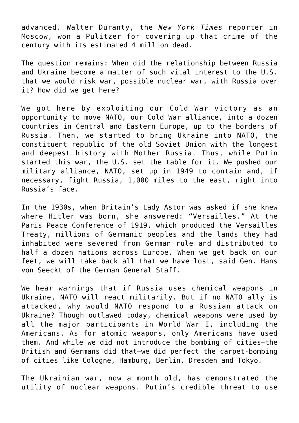advanced. Walter Duranty, the *New York Times* reporter in Moscow, won a Pulitzer for covering up that crime of the century with its estimated 4 million dead.

The question remains: When did the relationship between Russia and Ukraine become a matter of such vital interest to the U.S. that we would risk war, possible nuclear war, with Russia over it? How did we get here?

We got here by exploiting our Cold War victory as an opportunity to move NATO, our Cold War alliance, into a dozen countries in Central and Eastern Europe, up to the borders of Russia. Then, we started to bring Ukraine into NATO, the constituent republic of the old Soviet Union with the longest and deepest history with Mother Russia. Thus, while Putin started this war, the U.S. set the table for it. We pushed our military alliance, NATO, set up in 1949 to contain and, if necessary, fight Russia, 1,000 miles to the east, right into Russia's face.

In the 1930s, when Britain's Lady Astor was asked if she knew where Hitler was born, she answered: "Versailles." At the Paris Peace Conference of 1919, which produced the Versailles Treaty, millions of Germanic peoples and the lands they had inhabited were severed from German rule and distributed to half a dozen nations across Europe. When we get back on our feet, we will take back all that we have lost, said Gen. Hans von Seeckt of the German General Staff.

We hear warnings that if Russia uses chemical weapons in Ukraine, NATO will react militarily. But if no NATO ally is attacked, why would NATO respond to a Russian attack on Ukraine? Though outlawed today, chemical weapons were used by all the major participants in World War I, including the Americans. As for atomic weapons, only Americans have used them. And while we did not introduce the bombing of cities—the British and Germans did that—we did perfect the carpet-bombing of cities like Cologne, Hamburg, Berlin, Dresden and Tokyo.

The Ukrainian war, now a month old, has demonstrated the utility of nuclear weapons. Putin's credible threat to use